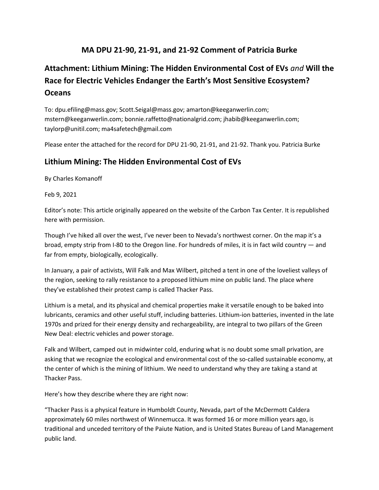# **MA DPU 21-90, 21-91, and 21-92 Comment of Patricia Burke**

# **Attachment: Lithium Mining: The Hidden Environmental Cost of EVs** *and* **Will the Race for Electric Vehicles Endanger the Earth's Most Sensitive Ecosystem? Oceans**

To: dpu.efiling@mass.gov; Scott.Seigal@mass.gov; amarton@keeganwerlin.com; mstern@keeganwerlin.com; bonnie.raffetto@nationalgrid.com; jhabib@keeganwerlin.com; taylorp@unitil.com; ma4safetech@gmail.com

Please enter the attached for the record for DPU 21-90, 21-91, and 21-92. Thank you. Patricia Burke

## **Lithium Mining: The Hidden Environmental Cost of EVs**

By Charles Komanoff

Feb 9, 2021

Editor's note: This article originally appeared on the website of the Carbon Tax Center. It is republished here with permission.

Though I've hiked all over the west, I've never been to Nevada's northwest corner. On the map it's a broad, empty strip from I-80 to the Oregon line. For hundreds of miles, it is in fact wild country — and far from empty, biologically, ecologically.

In January, a pair of activists, Will Falk and Max Wilbert, pitched a tent in one of the loveliest valleys of the region, seeking to rally resistance to a proposed lithium mine on public land. The place where they've established their protest camp is called Thacker Pass.

Lithium is a metal, and its physical and chemical properties make it versatile enough to be baked into lubricants, ceramics and other useful stuff, including batteries. Lithium-ion batteries, invented in the late 1970s and prized for their energy density and rechargeability, are integral to two pillars of the Green New Deal: electric vehicles and power storage.

Falk and Wilbert, camped out in midwinter cold, enduring what is no doubt some small privation, are asking that we recognize the ecological and environmental cost of the so-called sustainable economy, at the center of which is the mining of lithium. We need to understand why they are taking a stand at Thacker Pass.

Here's how they describe where they are right now:

"Thacker Pass is a physical feature in Humboldt County, Nevada, part of the McDermott Caldera approximately 60 miles northwest of Winnemucca. It was formed 16 or more million years ago, is traditional and unceded territory of the Paiute Nation, and is United States Bureau of Land Management public land.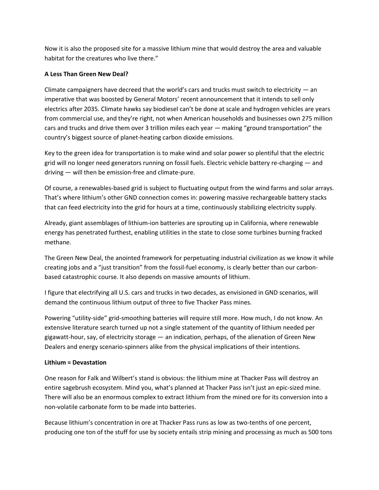Now it is also the proposed site for a massive lithium mine that would destroy the area and valuable habitat for the creatures who live there."

## **A Less Than Green New Deal?**

Climate campaigners have decreed that the world's cars and trucks must switch to electricity  $-$  an imperative that was boosted by General Motors' recent announcement that it intends to sell only electrics after 2035. Climate hawks say biodiesel can't be done at scale and hydrogen vehicles are years from commercial use, and they're right, not when American households and businesses own 275 million cars and trucks and drive them over 3 trillion miles each year — making "ground transportation" the country's biggest source of planet-heating carbon dioxide emissions.

Key to the green idea for transportation is to make wind and solar power so plentiful that the electric grid will no longer need generators running on fossil fuels. Electric vehicle battery re-charging — and driving — will then be emission-free and climate-pure.

Of course, a renewables-based grid is subject to fluctuating output from the wind farms and solar arrays. That's where lithium's other GND connection comes in: powering massive rechargeable battery stacks that can feed electricity into the grid for hours at a time, continuously stabilizing electricity supply.

Already, giant assemblages of lithium-ion batteries are sprouting up in California, where renewable energy has penetrated furthest, enabling utilities in the state to close some turbines burning fracked methane.

The Green New Deal, the anointed framework for perpetuating industrial civilization as we know it while creating jobs and a "just transition" from the fossil-fuel economy, is clearly better than our carbonbased catastrophic course. It also depends on massive amounts of lithium.

I figure that electrifying all U.S. cars and trucks in two decades, as envisioned in GND scenarios, will demand the continuous lithium output of three to five Thacker Pass mines.

Powering "utility-side" grid-smoothing batteries will require still more. How much, I do not know. An extensive literature search turned up not a single statement of the quantity of lithium needed per gigawatt-hour, say, of electricity storage — an indication, perhaps, of the alienation of Green New Dealers and energy scenario-spinners alike from the physical implications of their intentions.

#### **Lithium = Devastation**

One reason for Falk and Wilbert's stand is obvious: the lithium mine at Thacker Pass will destroy an entire sagebrush ecosystem. Mind you, what's planned at Thacker Pass isn't just an epic-sized mine. There will also be an enormous complex to extract lithium from the mined ore for its conversion into a non-volatile carbonate form to be made into batteries.

Because lithium's concentration in ore at Thacker Pass runs as low as two-tenths of one percent, producing one ton of the stuff for use by society entails strip mining and processing as much as 500 tons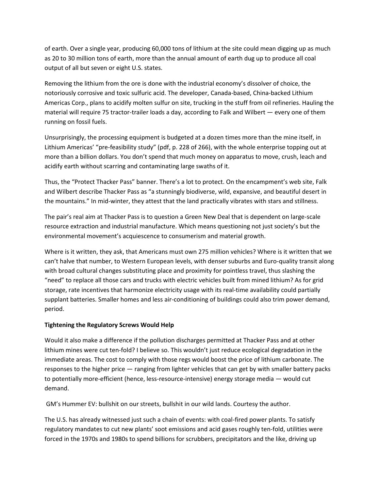of earth. Over a single year, producing 60,000 tons of lithium at the site could mean digging up as much as 20 to 30 million tons of earth, more than the annual amount of earth dug up to produce all coal output of all but seven or eight U.S. states.

Removing the lithium from the ore is done with the industrial economy's dissolver of choice, the notoriously corrosive and toxic sulfuric acid. The developer, Canada-based, China-backed Lithium Americas Corp., plans to acidify molten sulfur on site, trucking in the stuff from oil refineries. Hauling the material will require 75 tractor-trailer loads a day, according to Falk and Wilbert — every one of them running on fossil fuels.

Unsurprisingly, the processing equipment is budgeted at a dozen times more than the mine itself, in Lithium Americas' "pre-feasibility study" (pdf, p. 228 of 266), with the whole enterprise topping out at more than a billion dollars. You don't spend that much money on apparatus to move, crush, leach and acidify earth without scarring and contaminating large swaths of it.

Thus, the "Protect Thacker Pass" banner. There's a lot to protect. On the encampment's web site, Falk and Wilbert describe Thacker Pass as "a stunningly biodiverse, wild, expansive, and beautiful desert in the mountains." In mid-winter, they attest that the land practically vibrates with stars and stillness.

The pair's real aim at Thacker Pass is to question a Green New Deal that is dependent on large-scale resource extraction and industrial manufacture. Which means questioning not just society's but the environmental movement's acquiescence to consumerism and material growth.

Where is it written, they ask, that Americans must own 275 million vehicles? Where is it written that we can't halve that number, to Western European levels, with denser suburbs and Euro-quality transit along with broad cultural changes substituting place and proximity for pointless travel, thus slashing the "need" to replace all those cars and trucks with electric vehicles built from mined lithium? As for grid storage, rate incentives that harmonize electricity usage with its real-time availability could partially supplant batteries. Smaller homes and less air-conditioning of buildings could also trim power demand, period.

## **Tightening the Regulatory Screws Would Help**

Would it also make a difference if the pollution discharges permitted at Thacker Pass and at other lithium mines were cut ten-fold? I believe so. This wouldn't just reduce ecological degradation in the immediate areas. The cost to comply with those regs would boost the price of lithium carbonate. The responses to the higher price — ranging from lighter vehicles that can get by with smaller battery packs to potentially more-efficient (hence, less-resource-intensive) energy storage media — would cut demand.

GM's Hummer EV: bullshit on our streets, bullshit in our wild lands. Courtesy the author.

The U.S. has already witnessed just such a chain of events: with coal-fired power plants. To satisfy regulatory mandates to cut new plants' soot emissions and acid gases roughly ten-fold, utilities were forced in the 1970s and 1980s to spend billions for scrubbers, precipitators and the like, driving up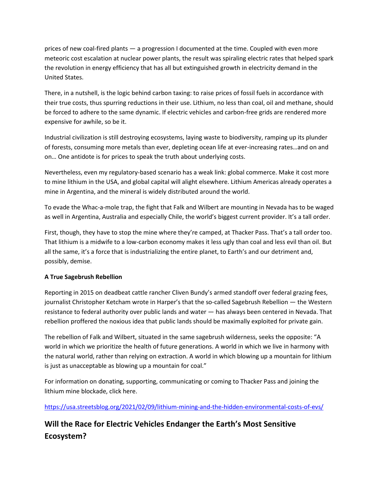prices of new coal-fired plants — a progression I documented at the time. Coupled with even more meteoric cost escalation at nuclear power plants, the result was spiraling electric rates that helped spark the revolution in energy efficiency that has all but extinguished growth in electricity demand in the United States.

There, in a nutshell, is the logic behind carbon taxing: to raise prices of fossil fuels in accordance with their true costs, thus spurring reductions in their use. Lithium, no less than coal, oil and methane, should be forced to adhere to the same dynamic. If electric vehicles and carbon-free grids are rendered more expensive for awhile, so be it.

Industrial civilization is still destroying ecosystems, laying waste to biodiversity, ramping up its plunder of forests, consuming more metals than ever, depleting ocean life at ever-increasing rates…and on and on… One antidote is for prices to speak the truth about underlying costs.

Nevertheless, even my regulatory-based scenario has a weak link: global commerce. Make it cost more to mine lithium in the USA, and global capital will alight elsewhere. Lithium Americas already operates a mine in Argentina, and the mineral is widely distributed around the world.

To evade the Whac-a-mole trap, the fight that Falk and Wilbert are mounting in Nevada has to be waged as well in Argentina, Australia and especially Chile, the world's biggest current provider. It's a tall order.

First, though, they have to stop the mine where they're camped, at Thacker Pass. That's a tall order too. That lithium is a midwife to a low-carbon economy makes it less ugly than coal and less evil than oil. But all the same, it's a force that is industrializing the entire planet, to Earth's and our detriment and, possibly, demise.

## **A True Sagebrush Rebellion**

Reporting in 2015 on deadbeat cattle rancher Cliven Bundy's armed standoff over federal grazing fees, journalist Christopher Ketcham wrote in Harper's that the so-called Sagebrush Rebellion — the Western resistance to federal authority over public lands and water — has always been centered in Nevada. That rebellion proffered the noxious idea that public lands should be maximally exploited for private gain.

The rebellion of Falk and Wilbert, situated in the same sagebrush wilderness, seeks the opposite: "A world in which we prioritize the health of future generations. A world in which we live in harmony with the natural world, rather than relying on extraction. A world in which blowing up a mountain for lithium is just as unacceptable as blowing up a mountain for coal."

For information on donating, supporting, communicating or coming to Thacker Pass and joining the lithium mine blockade, click here.

<https://usa.streetsblog.org/2021/02/09/lithium-mining-and-the-hidden-environmental-costs-of-evs/>

# **Will the Race for Electric Vehicles Endanger the Earth's Most Sensitive Ecosystem?**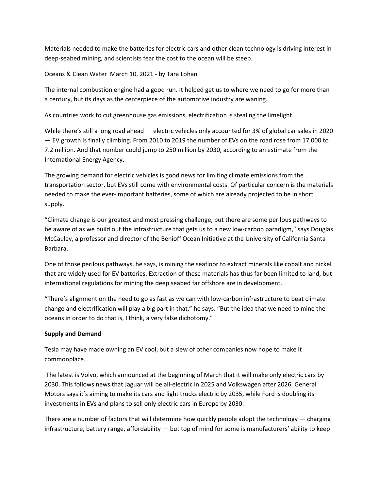Materials needed to make the batteries for electric cars and other clean technology is driving interest in deep-seabed mining, and scientists fear the cost to the ocean will be steep.

Oceans & Clean Water March 10, 2021 - by Tara Lohan

The internal combustion engine had a good run. It helped get us to where we need to go for more than a century, but its days as the centerpiece of the automotive industry are waning.

As countries work to cut greenhouse gas emissions, electrification is stealing the limelight.

While there's still a long road ahead — electric vehicles only accounted for 3% of global car sales in 2020 — EV growth is finally climbing. From 2010 to 2019 the number of EVs on the road rose from 17,000 to 7.2 million. And that number could jump to 250 million by 2030, according to an estimate from the International Energy Agency.

The growing demand for electric vehicles is good news for limiting climate emissions from the transportation sector, but EVs still come with environmental costs. Of particular concern is the materials needed to make the ever-important batteries, some of which are already projected to be in short supply.

"Climate change is our greatest and most pressing challenge, but there are some perilous pathways to be aware of as we build out the infrastructure that gets us to a new low-carbon paradigm," says Douglas McCauley, a professor and director of the Benioff Ocean Initiative at the University of California Santa Barbara.

One of those perilous pathways, he says, is mining the seafloor to extract minerals like cobalt and nickel that are widely used for EV batteries. Extraction of these materials has thus far been limited to land, but international regulations for mining the deep seabed far offshore are in development.

"There's alignment on the need to go as fast as we can with low-carbon infrastructure to beat climate change and electrification will play a big part in that," he says. "But the idea that we need to mine the oceans in order to do that is, I think, a very false dichotomy."

## **Supply and Demand**

Tesla may have made owning an EV cool, but a slew of other companies now hope to make it commonplace.

The latest is Volvo, which announced at the beginning of March that it will make only electric cars by 2030. This follows news that Jaguar will be all-electric in 2025 and Volkswagen after 2026. General Motors says it's aiming to make its cars and light trucks electric by 2035, while Ford is doubling its investments in EVs and plans to sell only electric cars in Europe by 2030.

There are a number of factors that will determine how quickly people adopt the technology — charging infrastructure, battery range, affordability — but top of mind for some is manufacturers' ability to keep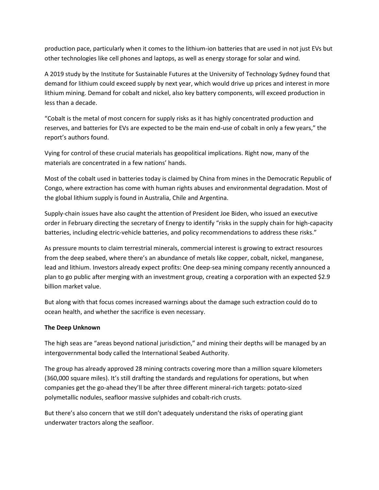production pace, particularly when it comes to the lithium-ion batteries that are used in not just EVs but other technologies like cell phones and laptops, as well as energy storage for solar and wind.

A 2019 study by the Institute for Sustainable Futures at the University of Technology Sydney found that demand for lithium could exceed supply by next year, which would drive up prices and interest in more lithium mining. Demand for cobalt and nickel, also key battery components, will exceed production in less than a decade.

"Cobalt is the metal of most concern for supply risks as it has highly concentrated production and reserves, and batteries for EVs are expected to be the main end-use of cobalt in only a few years," the report's authors found.

Vying for control of these crucial materials has geopolitical implications. Right now, many of the materials are concentrated in a few nations' hands.

Most of the cobalt used in batteries today is claimed by China from mines in the Democratic Republic of Congo, where extraction has come with human rights abuses and environmental degradation. Most of the global lithium supply is found in Australia, Chile and Argentina.

Supply-chain issues have also caught the attention of President Joe Biden, who issued an executive order in February directing the secretary of Energy to identify "risks in the supply chain for high-capacity batteries, including electric-vehicle batteries, and policy recommendations to address these risks."

As pressure mounts to claim terrestrial minerals, commercial interest is growing to extract resources from the deep seabed, where there's an abundance of metals like copper, cobalt, nickel, manganese, lead and lithium. Investors already expect profits: One deep-sea mining company recently announced a plan to go public after merging with an investment group, creating a corporation with an expected \$2.9 billion market value.

But along with that focus comes increased warnings about the damage such extraction could do to ocean health, and whether the sacrifice is even necessary.

#### **The Deep Unknown**

The high seas are "areas beyond national jurisdiction," and mining their depths will be managed by an intergovernmental body called the International Seabed Authority.

The group has already approved 28 mining contracts covering more than a million square kilometers (360,000 square miles). It's still drafting the standards and regulations for operations, but when companies get the go-ahead they'll be after three different mineral-rich targets: potato-sized polymetallic nodules, seafloor massive sulphides and cobalt-rich crusts.

But there's also concern that we still don't adequately understand the risks of operating giant underwater tractors along the seafloor.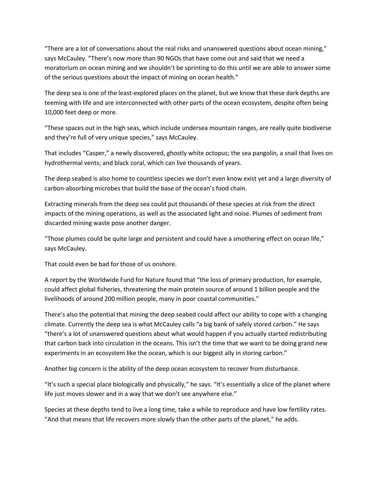"There are a lot of conversations about the real risks and unanswered questions about ocean mining," says McCauley. "There's now more than 90 NGOs that have come out and said that we need a moratorium on ocean mining and we shouldn't be sprinting to do this until we are able to answer some of the serious questions about the impact of mining on ocean health."

The deep sea is one of the least-explored places on the planet, but we know that these dark depths are teeming with life and are interconnected with other parts of the ocean ecosystem, despite often being 10,000 feet deep or more.

"These spaces out in the high seas, which include undersea mountain ranges, are really quite biodiverse and they're full of very unique species," says McCauley.

That includes "Casper," a newly discovered, ghostly white octopus; the sea pangolin, a snail that lives on hydrothermal vents; and black coral, which can live thousands of years.

The deep seabed is also home to countless species we don't even know exist yet and a large diversity of carbon-absorbing microbes that build the base of the ocean's food chain.

Extracting minerals from the deep sea could put thousands of these species at risk from the direct impacts of the mining operations, as well as the associated light and noise. Plumes of sediment from discarded mining waste pose another danger.

"Those plumes could be quite large and persistent and could have a smothering effect on ocean life," says McCauley.

That could even be bad for those of us onshore.

A report by the Worldwide Fund for Nature found that "the loss of primary production, for example, could affect global fisheries, threatening the main protein source of around 1 billion people and the livelihoods of around 200 million people, many in poor coastal communities."

There's also the potential that mining the deep seabed could affect our ability to cope with a changing climate. Currently the deep sea is what McCauley calls "a big bank of safely stored carbon." He says "there's a lot of unanswered questions about what would happen if you actually started redistributing that carbon back into circulation in the oceans. This isn't the time that we want to be doing grand new experiments in an ecosystem like the ocean, which is our biggest ally in storing carbon."

Another big concern is the ability of the deep ocean ecosystem to recover from disturbance.

"It's such a special place biologically and physically," he says. "It's essentially a slice of the planet where life just moves slower and in a way that we don't see anywhere else."

Species at these depths tend to live a long time, take a while to reproduce and have low fertility rates. "And that means that life recovers more slowly than the other parts of the planet," he adds.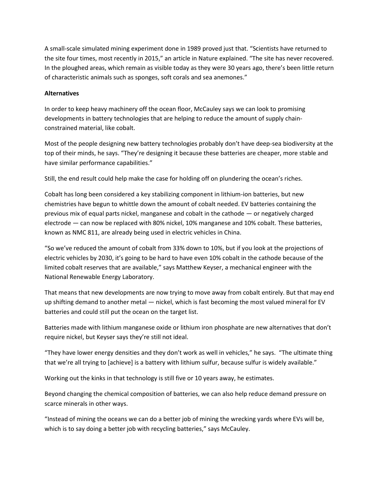A small-scale simulated mining experiment done in 1989 proved just that. "Scientists have returned to the site four times, most recently in 2015," an article in Nature explained. "The site has never recovered. In the ploughed areas, which remain as visible today as they were 30 years ago, there's been little return of characteristic animals such as sponges, soft corals and sea anemones."

#### **Alternatives**

In order to keep heavy machinery off the ocean floor, McCauley says we can look to promising developments in battery technologies that are helping to reduce the amount of supply chainconstrained material, like cobalt.

Most of the people designing new battery technologies probably don't have deep-sea biodiversity at the top of their minds, he says. "They're designing it because these batteries are cheaper, more stable and have similar performance capabilities."

Still, the end result could help make the case for holding off on plundering the ocean's riches.

Cobalt has long been considered a key stabilizing component in lithium-ion batteries, but new chemistries have begun to whittle down the amount of cobalt needed. EV batteries containing the previous mix of equal parts nickel, manganese and cobalt in the cathode — or negatively charged electrode — can now be replaced with 80% nickel, 10% manganese and 10% cobalt. These batteries, known as NMC 811, are already being used in electric vehicles in China.

"So we've reduced the amount of cobalt from 33% down to 10%, but if you look at the projections of electric vehicles by 2030, it's going to be hard to have even 10% cobalt in the cathode because of the limited cobalt reserves that are available," says Matthew Keyser, a mechanical engineer with the National Renewable Energy Laboratory.

That means that new developments are now trying to move away from cobalt entirely. But that may end up shifting demand to another metal — nickel, which is fast becoming the most valued mineral for EV batteries and could still put the ocean on the target list.

Batteries made with lithium manganese oxide or lithium iron phosphate are new alternatives that don't require nickel, but Keyser says they're still not ideal.

"They have lower energy densities and they don't work as well in vehicles," he says. "The ultimate thing that we're all trying to [achieve] is a battery with lithium sulfur, because sulfur is widely available."

Working out the kinks in that technology is still five or 10 years away, he estimates.

Beyond changing the chemical composition of batteries, we can also help reduce demand pressure on scarce minerals in other ways.

"Instead of mining the oceans we can do a better job of mining the wrecking yards where EVs will be, which is to say doing a better job with recycling batteries," says McCauley.